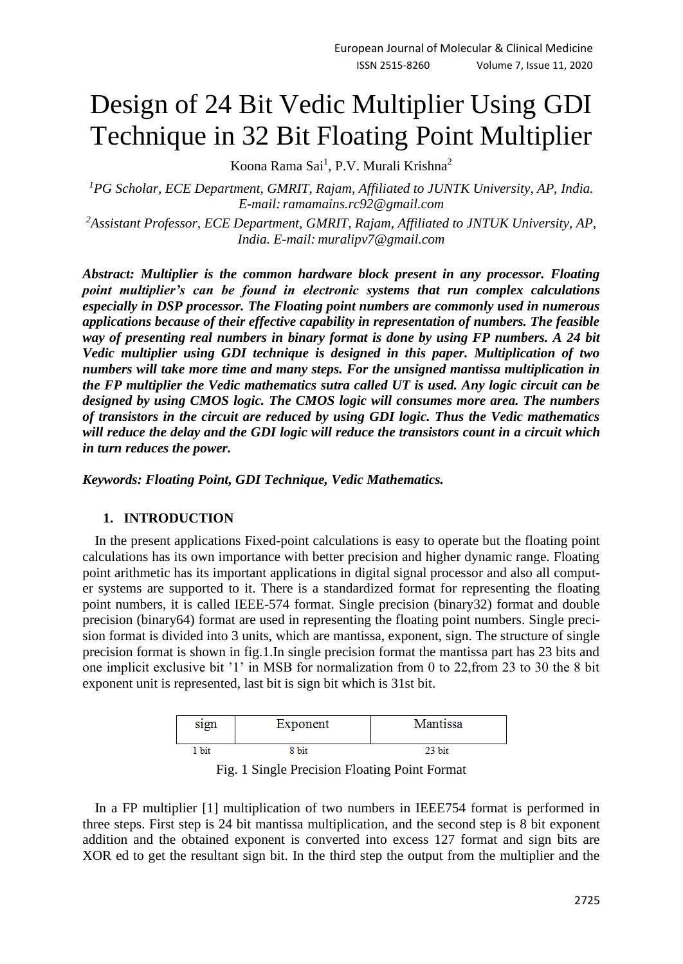# Design of 24 Bit Vedic Multiplier Using GDI Technique in 32 Bit Floating Point Multiplier

Koona Rama Sai<sup>1</sup>, P.V. Murali Krishna<sup>2</sup>

*<sup>1</sup>PG Scholar, ECE Department, GMRIT, Rajam, Affiliated to JUNTK University, AP, India. E-mail: ramamains.rc92@gmail.com* 

*<sup>2</sup>Assistant Professor, ECE Department, GMRIT, Rajam, Affiliated to JNTUK University, AP, India. E-mail: muralipv7@gmail.com*

*Abstract: Multiplier is the common hardware block present in any processor. Floating point multiplier's can be found in electronic systems that run complex calculations especially in DSP processor. The Floating point numbers are commonly used in numerous applications because of their effective capability in representation of numbers. The feasible way of presenting real numbers in binary format is done by using FP numbers. A 24 bit Vedic multiplier using GDI technique is designed in this paper. Multiplication of two numbers will take more time and many steps. For the unsigned mantissa multiplication in the FP multiplier the Vedic mathematics sutra called UT is used. Any logic circuit can be designed by using CMOS logic. The CMOS logic will consumes more area. The numbers of transistors in the circuit are reduced by using GDI logic. Thus the Vedic mathematics will reduce the delay and the GDI logic will reduce the transistors count in a circuit which in turn reduces the power.*

*Keywords: Floating Point, GDI Technique, Vedic Mathematics.*

# **1. INTRODUCTION**

In the present applications Fixed-point calculations is easy to operate but the floating point calculations has its own importance with better precision and higher dynamic range. Floating point arithmetic has its important applications in digital signal processor and also all computer systems are supported to it. There is a standardized format for representing the floating point numbers, it is called IEEE-574 format. Single precision (binary32) format and double precision (binary64) format are used in representing the floating point numbers. Single precision format is divided into 3 units, which are mantissa, exponent, sign. The structure of single precision format is shown in fig.1.In single precision format the mantissa part has 23 bits and one implicit exclusive bit '1' in MSB for normalization from 0 to 22,from 23 to 30 the 8 bit exponent unit is represented, last bit is sign bit which is 31st bit.

| sign  | Exponent | Mantissa |
|-------|----------|----------|
| l bit | 8 bit    | 23 bit   |

Fig. 1 Single Precision Floating Point Format

In a FP multiplier [1] multiplication of two numbers in IEEE754 format is performed in three steps. First step is 24 bit mantissa multiplication, and the second step is 8 bit exponent addition and the obtained exponent is converted into excess 127 format and sign bits are XOR ed to get the resultant sign bit. In the third step the output from the multiplier and the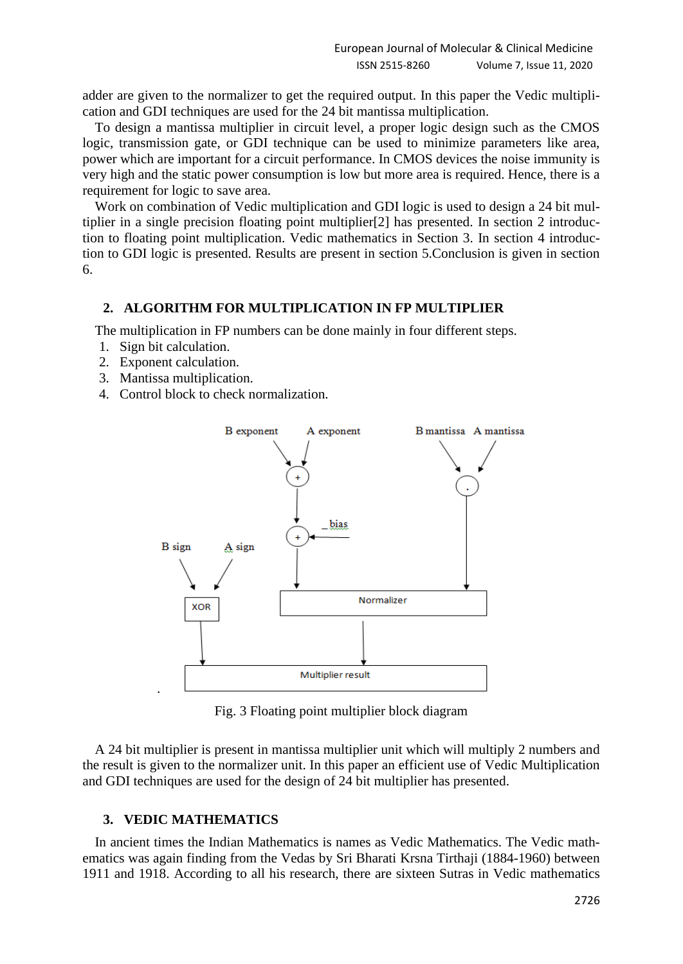adder are given to the normalizer to get the required output. In this paper the Vedic multiplication and GDI techniques are used for the 24 bit mantissa multiplication.

To design a mantissa multiplier in circuit level, a proper logic design such as the CMOS logic, transmission gate, or GDI technique can be used to minimize parameters like area, power which are important for a circuit performance. In CMOS devices the noise immunity is very high and the static power consumption is low but more area is required. Hence, there is a requirement for logic to save area.

Work on combination of Vedic multiplication and GDI logic is used to design a 24 bit multiplier in a single precision floating point multiplier[2] has presented. In section 2 introduction to floating point multiplication. Vedic mathematics in Section 3. In section 4 introduction to GDI logic is presented. Results are present in section 5.Conclusion is given in section 6.

### **2. ALGORITHM FOR MULTIPLICATION IN FP MULTIPLIER**

The multiplication in FP numbers can be done mainly in four different steps.

- 1. Sign bit calculation.
- 2. Exponent calculation.
- 3. Mantissa multiplication.
- 4. Control block to check normalization.



Fig. 3 Floating point multiplier block diagram

A 24 bit multiplier is present in mantissa multiplier unit which will multiply 2 numbers and the result is given to the normalizer unit. In this paper an efficient use of Vedic Multiplication and GDI techniques are used for the design of 24 bit multiplier has presented.

# **3. VEDIC MATHEMATICS**

In ancient times the Indian Mathematics is names as Vedic Mathematics. The Vedic mathematics was again finding from the Vedas by Sri Bharati Krsna Tirthaji (1884-1960) between 1911 and 1918. According to all his research, there are sixteen Sutras in Vedic mathematics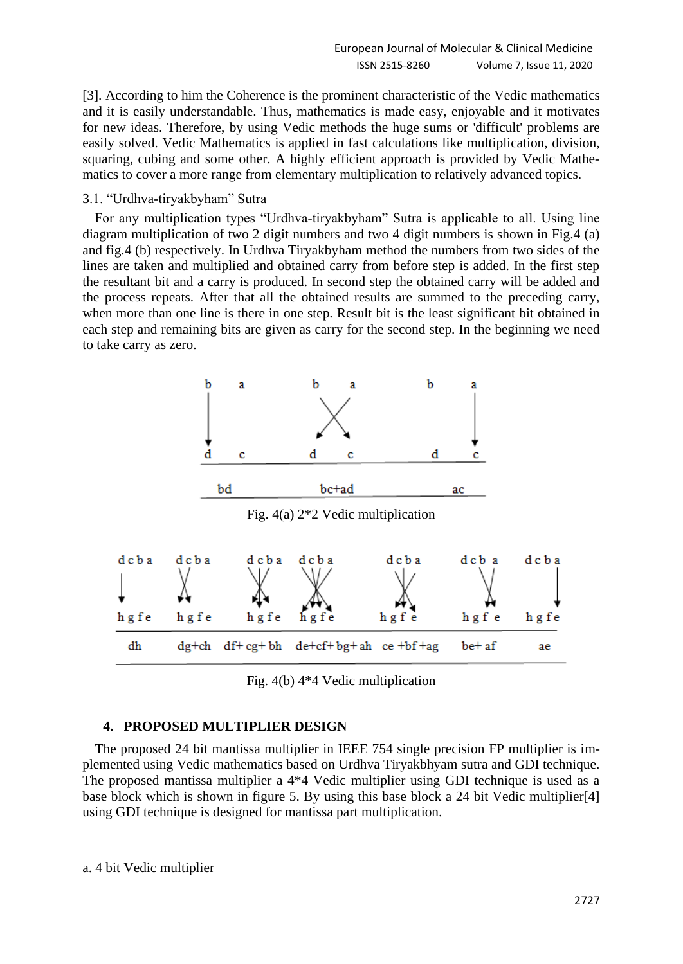[3]. According to him the Coherence is the prominent characteristic of the Vedic mathematics and it is easily understandable. Thus, mathematics is made easy, enjoyable and it motivates for new ideas. Therefore, by using Vedic methods the huge sums or 'difficult' problems are easily solved. Vedic Mathematics is applied in fast calculations like multiplication, division, squaring, cubing and some other. A highly efficient approach is provided by Vedic Mathematics to cover a more range from elementary multiplication to relatively advanced topics.

#### 3.1. "Urdhva-tiryakbyham" Sutra

For any multiplication types "Urdhva-tiryakbyham" Sutra is applicable to all. Using line diagram multiplication of two 2 digit numbers and two 4 digit numbers is shown in Fig.4 (a) and fig.4 (b) respectively. In Urdhva Tiryakbyham method the numbers from two sides of the lines are taken and multiplied and obtained carry from before step is added. In the first step the resultant bit and a carry is produced. In second step the obtained carry will be added and the process repeats. After that all the obtained results are summed to the preceding carry, when more than one line is there in one step. Result bit is the least significant bit obtained in each step and remaining bits are given as carry for the second step. In the beginning we need to take carry as zero.



Fig. 4(b) 4\*4 Vedic multiplication

#### **4. PROPOSED MULTIPLIER DESIGN**

The proposed 24 bit mantissa multiplier in IEEE 754 single precision FP multiplier is implemented using Vedic mathematics based on Urdhva Tiryakbhyam sutra and GDI technique. The proposed mantissa multiplier a 4\*4 Vedic multiplier using GDI technique is used as a base block which is shown in figure 5. By using this base block a 24 bit Vedic multiplier[4] using GDI technique is designed for mantissa part multiplication.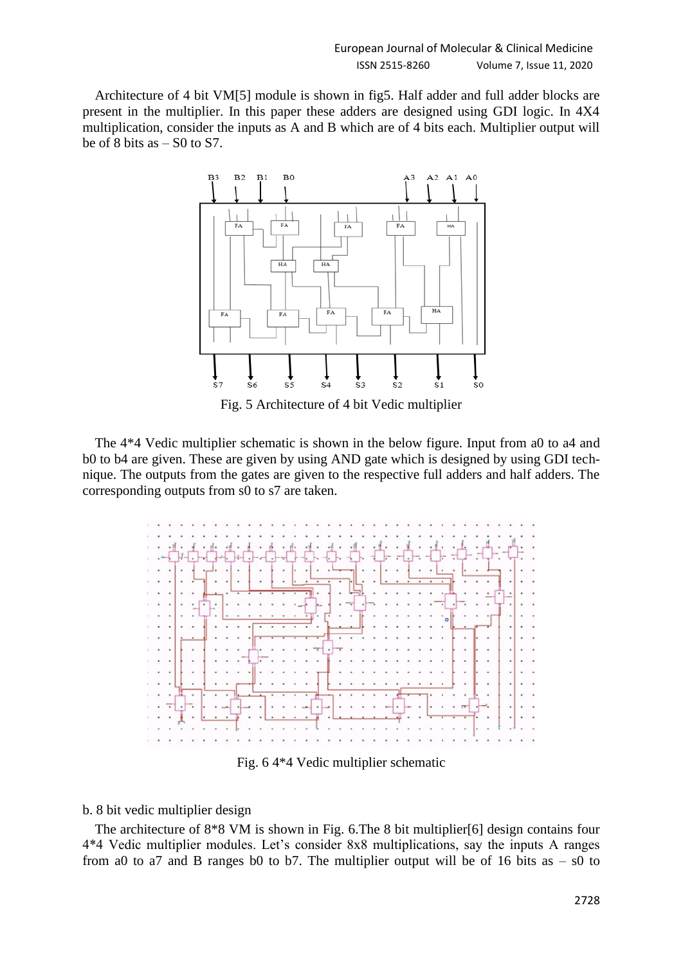Architecture of 4 bit VM[5] module is shown in fig5. Half adder and full adder blocks are present in the multiplier. In this paper these adders are designed using GDI logic. In 4X4 multiplication, consider the inputs as A and B which are of 4 bits each. Multiplier output will be of 8 bits as  $-$  S0 to S7.



Fig. 5 Architecture of 4 bit Vedic multiplier

The 4\*4 Vedic multiplier schematic is shown in the below figure. Input from a0 to a4 and b0 to b4 are given. These are given by using AND gate which is designed by using GDI technique. The outputs from the gates are given to the respective full adders and half adders. The corresponding outputs from s0 to s7 are taken.



Fig. 6 4\*4 Vedic multiplier schematic

#### b. 8 bit vedic multiplier design

The architecture of 8\*8 VM is shown in Fig. 6.The 8 bit multiplier[6] design contains four 4\*4 Vedic multiplier modules. Let's consider 8x8 multiplications, say the inputs A ranges from a0 to a7 and B ranges b0 to b7. The multiplier output will be of 16 bits as  $-$  s0 to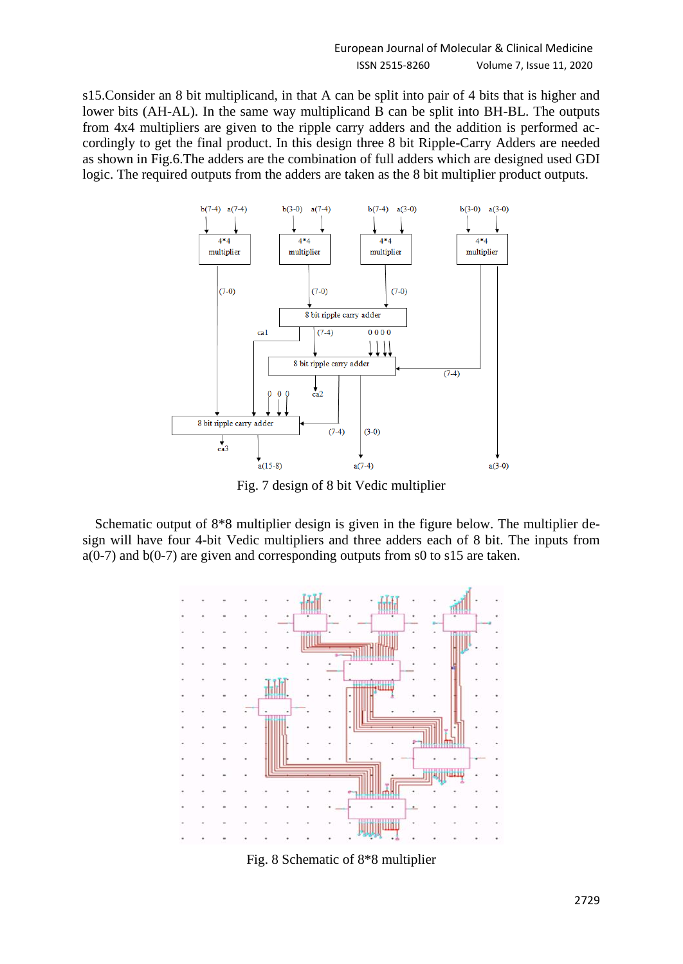s15.Consider an 8 bit multiplicand, in that A can be split into pair of 4 bits that is higher and lower bits (AH-AL). In the same way multiplicand B can be split into BH-BL. The outputs from 4x4 multipliers are given to the ripple carry adders and the addition is performed accordingly to get the final product. In this design three 8 bit Ripple-Carry Adders are needed as shown in Fig.6.The adders are the combination of full adders which are designed used GDI logic. The required outputs from the adders are taken as the 8 bit multiplier product outputs.



Fig. 7 design of 8 bit Vedic multiplier

Schematic output of 8\*8 multiplier design is given in the figure below. The multiplier design will have four 4-bit Vedic multipliers and three adders each of 8 bit. The inputs from a(0-7) and b(0-7) are given and corresponding outputs from s0 to s15 are taken.



Fig. 8 Schematic of 8\*8 multiplier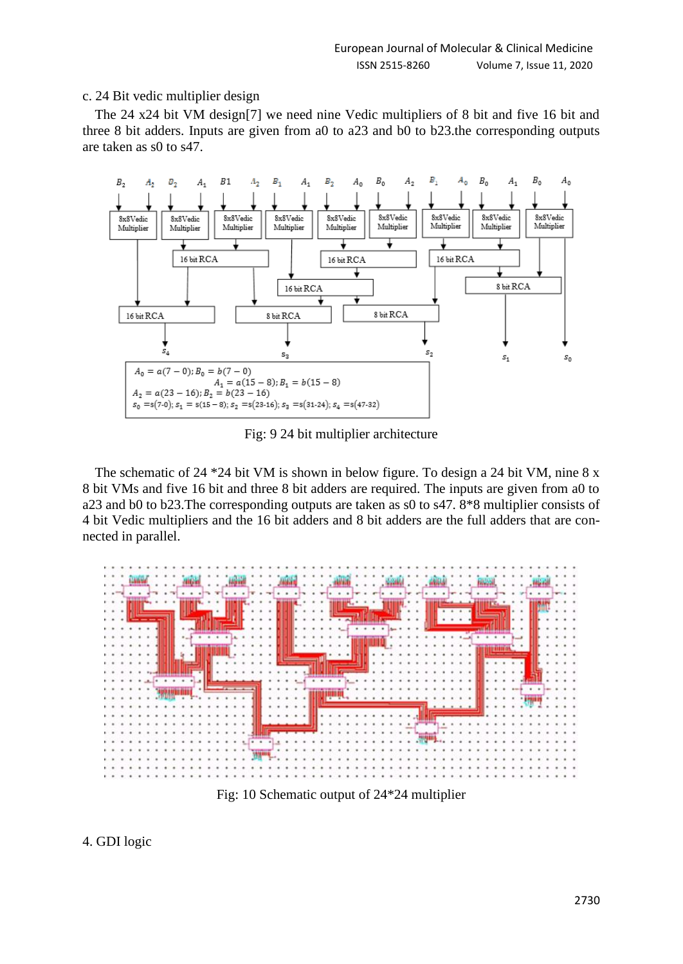#### c. 24 Bit vedic multiplier design

The 24 x24 bit VM design[7] we need nine Vedic multipliers of 8 bit and five 16 bit and three 8 bit adders. Inputs are given from a0 to a23 and b0 to b23.the corresponding outputs are taken as s0 to s47.



Fig: 9 24 bit multiplier architecture

The schematic of 24 \*24 bit VM is shown in below figure. To design a 24 bit VM, nine 8 x 8 bit VMs and five 16 bit and three 8 bit adders are required. The inputs are given from a0 to a23 and b0 to b23.The corresponding outputs are taken as s0 to s47. 8\*8 multiplier consists of 4 bit Vedic multipliers and the 16 bit adders and 8 bit adders are the full adders that are connected in parallel.



Fig: 10 Schematic output of 24\*24 multiplier

4. GDI logic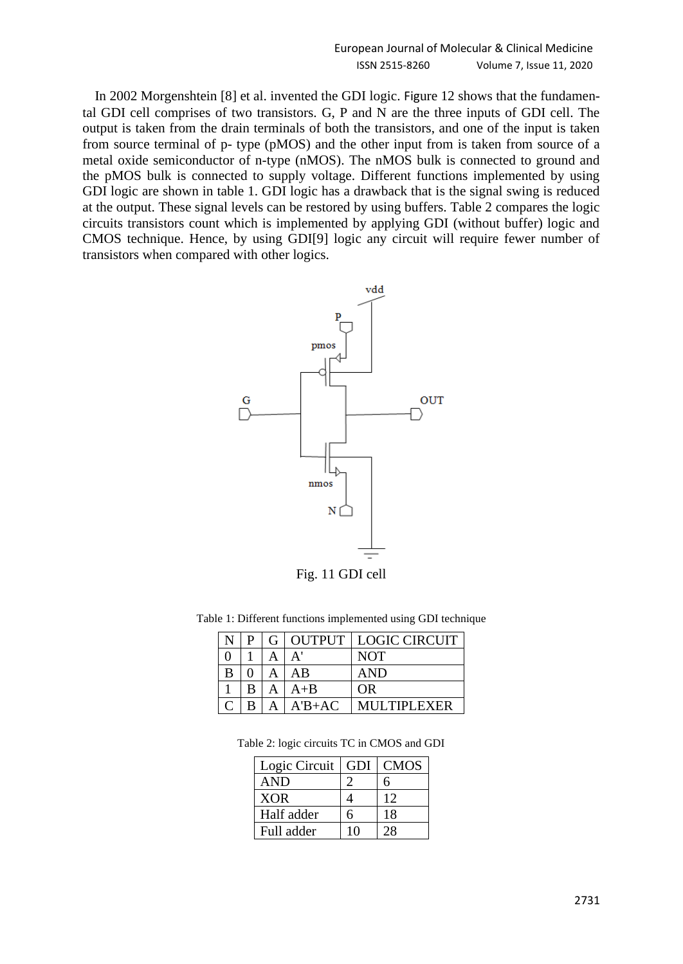In 2002 Morgenshtein [8] et al. invented the GDI logic. Figure 12 shows that the fundamental GDI cell comprises of two transistors. G, P and N are the three inputs of GDI cell. The output is taken from the drain terminals of both the transistors, and one of the input is taken from source terminal of p- type (pMOS) and the other input from is taken from source of a metal oxide semiconductor of n-type (nMOS). The nMOS bulk is connected to ground and the pMOS bulk is connected to supply voltage. Different functions implemented by using GDI logic are shown in table 1. GDI logic has a drawback that is the signal swing is reduced at the output. These signal levels can be restored by using buffers. Table 2 compares the logic circuits transistors count which is implemented by applying GDI (without buffer) logic and CMOS technique. Hence, by using GDI[9] logic any circuit will require fewer number of transistors when compared with other logics.



Fig. 11 GDI cell

|   | P. |          | G OUTPUT LOGIC CIRCUIT |
|---|----|----------|------------------------|
|   |    |          | <b>NOT</b>             |
| B |    | ΑB       | <b>AND</b>             |
|   |    | $A + B$  | OR                     |
|   | в  | $A'B+AC$ | MULTIPLEXER            |

|  | Table 2: logic circuits TC in CMOS and GDI |  |  |  |  |  |  |
|--|--------------------------------------------|--|--|--|--|--|--|
|--|--------------------------------------------|--|--|--|--|--|--|

| Logic Circuit | GDI. | <b>CMOS</b> |
|---------------|------|-------------|
| <b>AND</b>    |      | h           |
| <b>XOR</b>    |      | 12          |
| Half adder    | h    | 18          |
| Full adder    | 10   | 28          |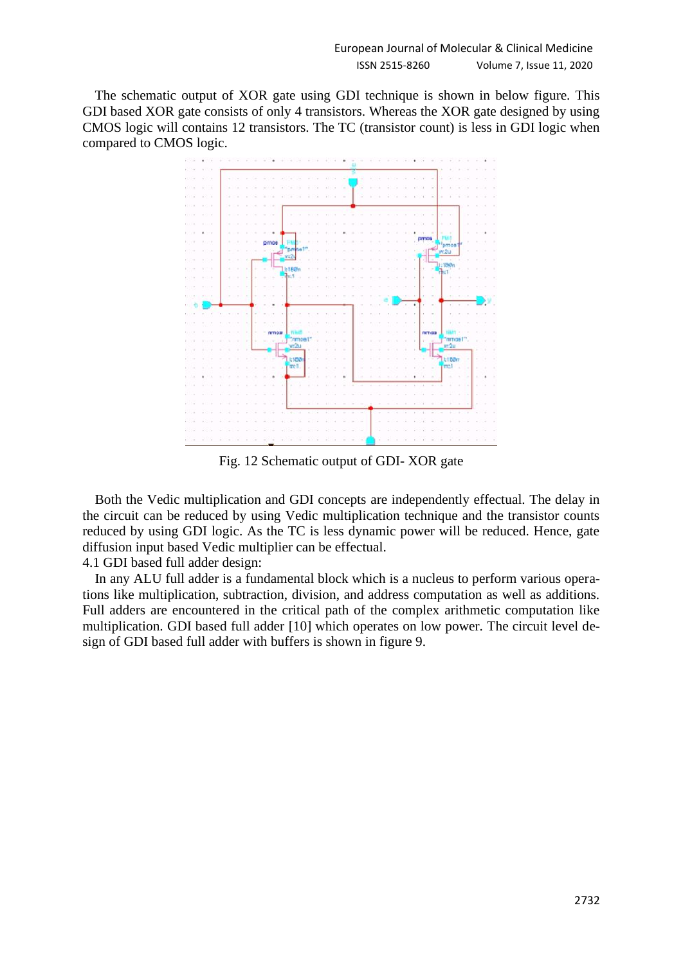The schematic output of XOR gate using GDI technique is shown in below figure. This GDI based XOR gate consists of only 4 transistors. Whereas the XOR gate designed by using CMOS logic will contains 12 transistors. The TC (transistor count) is less in GDI logic when compared to CMOS logic.



Fig. 12 Schematic output of GDI- XOR gate

Both the Vedic multiplication and GDI concepts are independently effectual. The delay in the circuit can be reduced by using Vedic multiplication technique and the transistor counts reduced by using GDI logic. As the TC is less dynamic power will be reduced. Hence, gate diffusion input based Vedic multiplier can be effectual.

4.1 GDI based full adder design:

In any ALU full adder is a fundamental block which is a nucleus to perform various operations like multiplication, subtraction, division, and address computation as well as additions. Full adders are encountered in the critical path of the complex arithmetic computation like multiplication. GDI based full adder [10] which operates on low power. The circuit level design of GDI based full adder with buffers is shown in figure 9.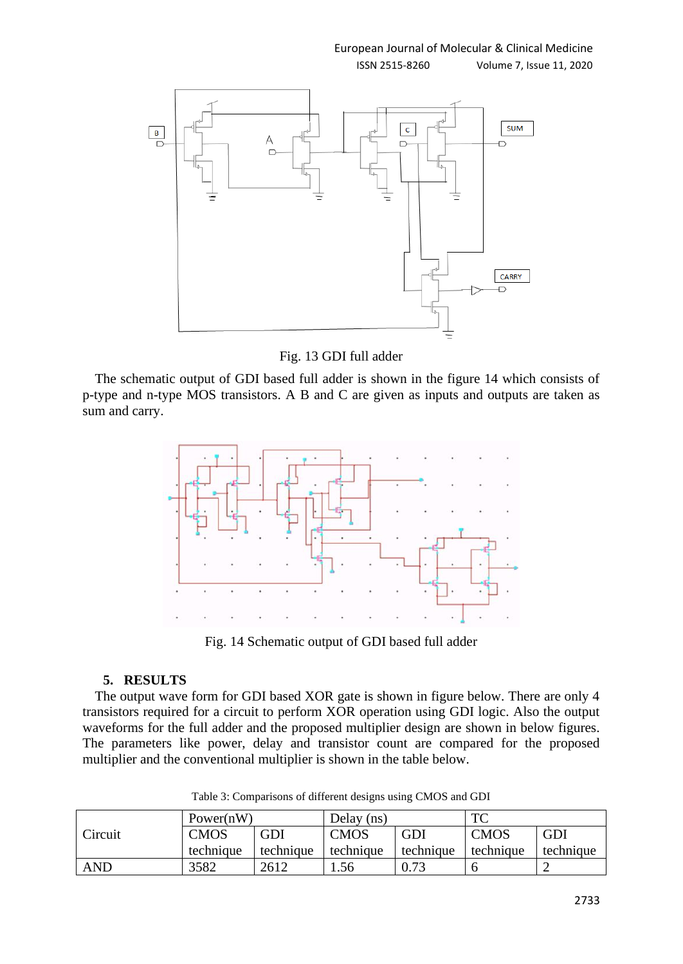#### ISSN 2515-8260 Volume 7, Issue 11, 2020



Fig. 13 GDI full adder

The schematic output of GDI based full adder is shown in the figure 14 which consists of p-type and n-type MOS transistors. A B and C are given as inputs and outputs are taken as sum and carry.



Fig. 14 Schematic output of GDI based full adder

# **5. RESULTS**

The output wave form for GDI based XOR gate is shown in figure below. There are only 4 transistors required for a circuit to perform XOR operation using GDI logic. Also the output waveforms for the full adder and the proposed multiplier design are shown in below figures. The parameters like power, delay and transistor count are compared for the proposed multiplier and the conventional multiplier is shown in the table below.

|            | Power(nW)   |           | Delay (ns)  |           | TC          |           |
|------------|-------------|-----------|-------------|-----------|-------------|-----------|
| Circuit    | <b>CMOS</b> | GDI       | <b>CMOS</b> | GDI       | <b>CMOS</b> | GDI       |
|            | technique   | technique | technique   | technique | technique   | technique |
| <b>AND</b> | 3582        | 2612      | . . 56      | 0.73      |             | ∽         |

Table 3: Comparisons of different designs using CMOS and GDI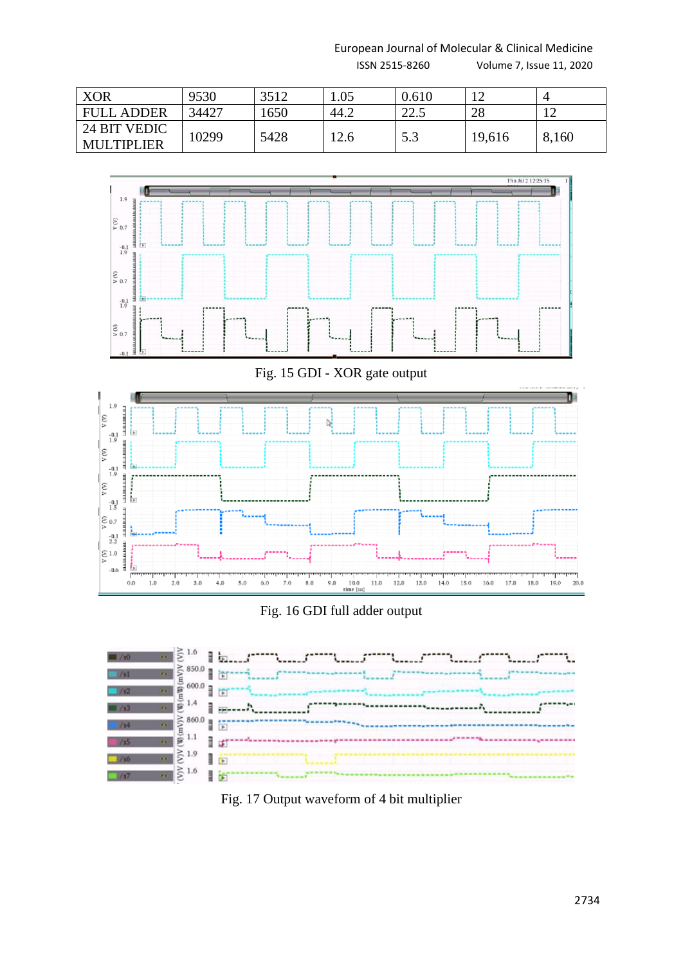European Journal of Molecular & Clinical Medicine

ISSN 2515-8260 Volume 7, Issue 11, 2020

| <b>XOR</b>                        | 9530  | 3512 | 1.05 | 0.610           | $1 \cap$ |       |
|-----------------------------------|-------|------|------|-----------------|----------|-------|
| <b>FULL ADDER</b>                 | 34427 | 1650 | 44.2 | 225<br>ل . کا ک | 28       |       |
| 24 BIT VEDIC<br><b>MULTIPLIER</b> | 10299 | 5428 | 12.6 | 5.3             | 19,616   | 8,160 |







Fig. 17 Output waveform of 4 bit multiplier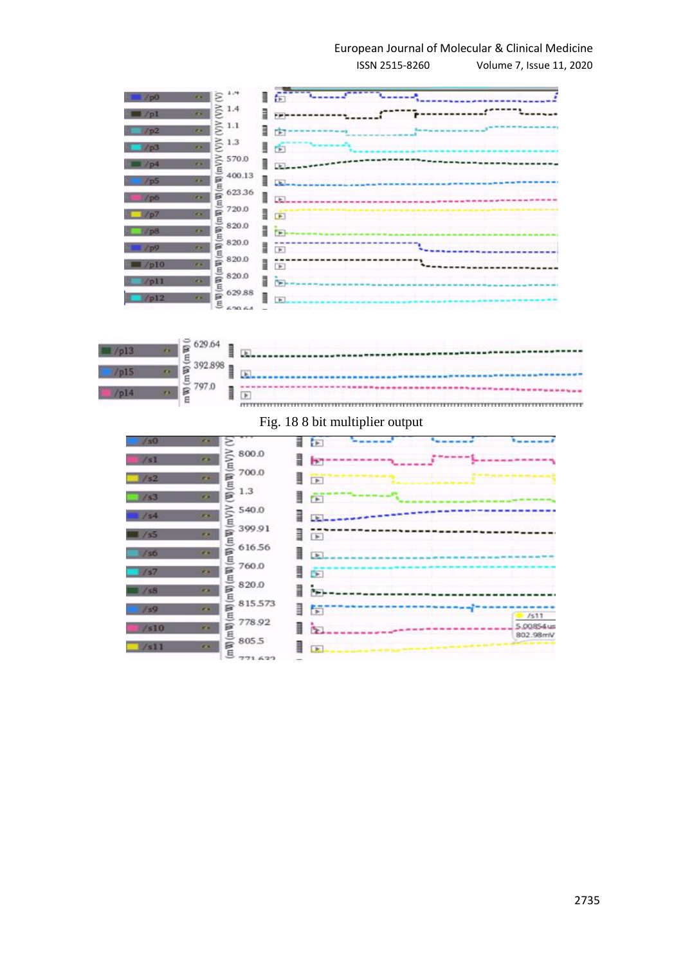# European Journal of Molecular & Clinical Medicine

ISSN 2515-8260 Volume 7, Issue 11, 2020

一群 **Control Maria Control**  $\frac{1}{2}$ Ξ  $\sum_{i=1}^{n} 1.4$ 7. . . . . . . . . <del>. . . . . <sup>. . .</sup> . .</del> . . .  $\sum_{i=1}^{n}$ l da- $\sum_{i=1}^{\infty}$  1.3 上面  $\geq 570.0$ <br> $\leq 400.13$  $|......|$ 400.13 四期  $\blacksquare$ 623.36 mW) ı 720.0 上面 冒 Ξ 820.0 lib-(Wm) 820.0 15 -------------- $(mW)$  $820.0$  $\mathbb{R}$ \..................  $\frac{1}{2}$  820.0 l is 629.88  $\frac{5}{5}$  629.88  $\quad \qquad \blacksquare$  $\Box$ 



# Fig. 18 8 bit multiplier output

| /30          | $\mathcal{L}$    |                                                                                                                                                          | ≣<br>E                      | ۰.    |                       |
|--------------|------------------|----------------------------------------------------------------------------------------------------------------------------------------------------------|-----------------------------|-------|-----------------------|
| / s1         | <b>CH</b>        | 800.0<br>(mV)V                                                                                                                                           | ▌<br>ÞТ                     | ----- |                       |
| 152          | e.               | 700.0                                                                                                                                                    | ┋<br>$\overline{P}$         |       |                       |
| 153          | <b>CH</b>        | $(\mathbb{W})$ (mW)<br>1.3                                                                                                                               | §<br>$\Box$                 |       |                       |
| 1/54         | r.               | 540.0                                                                                                                                                    | ▊<br>u                      |       |                       |
| $\sqrt{35}$  | <b>SCALE</b>     | 399.91                                                                                                                                                   | ≣<br>$\overline{F}$         |       |                       |
| /56          | <b>CALL</b>      | 616.56                                                                                                                                                   | ▌<br>$\left  \cdot \right $ |       |                       |
| 157          | $\mathcal{L}$ is | 760.0                                                                                                                                                    | 1<br>$\rightarrow$          |       |                       |
| $\equiv$ /s8 | <b>P.A.</b>      | 820.0                                                                                                                                                    | Ī<br>P×                     |       |                       |
| 159          | $\mathcal{L}$ .  | 815.573                                                                                                                                                  | §<br>Ħ                      |       | 1511                  |
| /sl0         | <b>KA</b>        | 778.92                                                                                                                                                   | ▌<br>١Ŧ                     |       | 5.00854us<br>802.98mV |
| $/$ sll      | P.A.             | $(m\,\mathfrak{V})$ $(m\,\mathfrak{V})$ $(m\,\mathfrak{V})$ $(m\,\mathfrak{V})$ $(m\,\mathfrak{V})$ $(m\,\mathfrak{V})$ $(m\,\mathfrak{V})$ $V$<br>805.5 | ▌<br>$\blacktriangleright$  |       |                       |
|              |                  | 771633                                                                                                                                                   |                             |       |                       |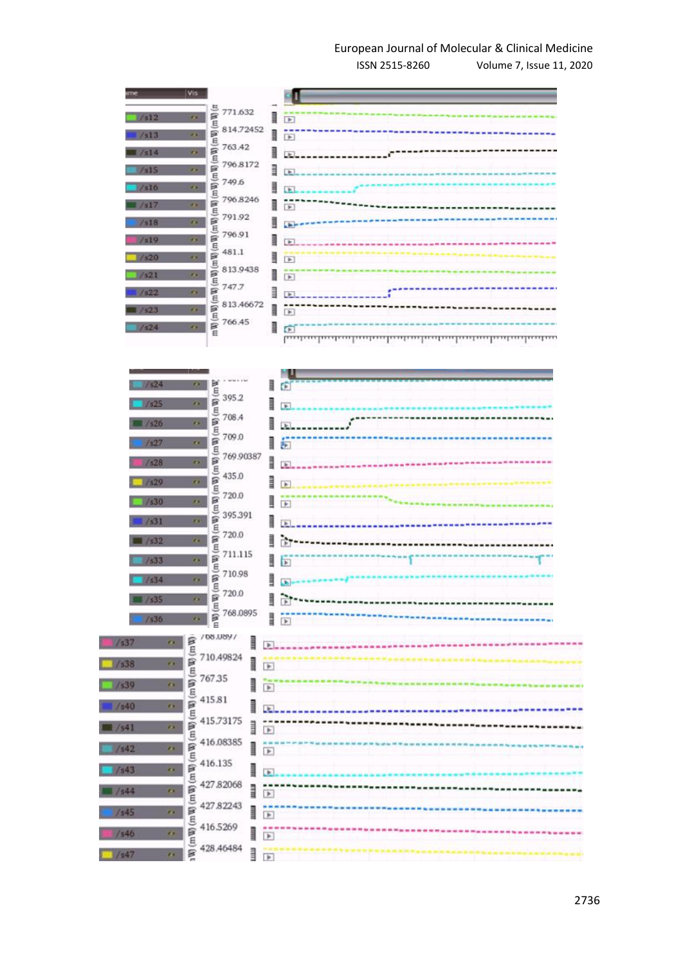# European Journal of Molecular & Clinical Medicine

ISSN 2515-8260 Volume 7, Issue 11, 2020